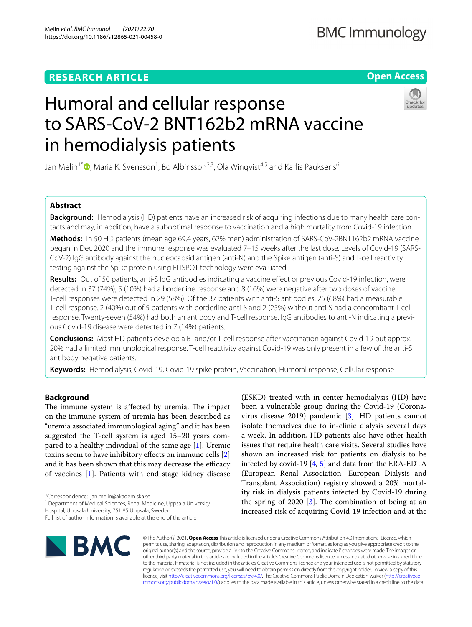### **RESEARCH ARTICLE**

**Open Access**

# Humoral and cellular response to SARS-CoV-2 BNT162b2 mRNA vaccine in hemodialysis patients

Jan Melin<sup>1[\\*](http://orcid.org/0000-0003-3405-3154)</sup> **D**, Maria K. Svensson<sup>1</sup>, Bo Albinsson<sup>2,3</sup>, Ola Winqvist<sup>4,5</sup> and Karlis Pauksens<sup>6</sup>

#### **Abstract**

**Background:** Hemodialysis (HD) patients have an increased risk of acquiring infections due to many health care contacts and may, in addition, have a suboptimal response to vaccination and a high mortality from Covid-19 infection.

**Methods:** In 50 HD patients (mean age 69.4 years, 62% men) administration of SARS-CoV-2BNT162b2 mRNA vaccine began in Dec 2020 and the immune response was evaluated 7–15 weeks after the last dose. Levels of Covid-19 (SARS-CoV-2) IgG antibody against the nucleocapsid antigen (anti-N) and the Spike antigen (anti-S) and T-cell reactivity testing against the Spike protein using ELISPOT technology were evaluated.

**Results:** Out of 50 patients, anti-S IgG antibodies indicating a vaccine efect or previous Covid-19 infection, were detected in 37 (74%), 5 (10%) had a borderline response and 8 (16%) were negative after two doses of vaccine. T-cell responses were detected in 29 (58%). Of the 37 patients with anti-S antibodies, 25 (68%) had a measurable T-cell response. 2 (40%) out of 5 patients with borderline anti-S and 2 (25%) without anti-S had a concomitant T-cell response. Twenty-seven (54%) had both an antibody and T-cell response. IgG antibodies to anti-N indicating a previous Covid-19 disease were detected in 7 (14%) patients.

**Conclusions:** Most HD patients develop a B- and/or T-cell response after vaccination against Covid-19 but approx. 20% had a limited immunological response. T-cell reactivity against Covid-19 was only present in a few of the anti-S antibody negative patients.

**Keywords:** Hemodialysis, Covid-19, Covid-19 spike protein, Vaccination, Humoral response, Cellular response

#### **Background**

The immune system is affected by uremia. The impact on the immune system of uremia has been described as "uremia associated immunological aging" and it has been suggested the T-cell system is aged 15–20 years compared to a healthy individual of the same age  $[1]$  $[1]$ . Uremic toxins seem to have inhibitory efects on immune cells [\[2](#page-6-1)] and it has been shown that this may decrease the efficacy of vaccines [[1\]](#page-6-0). Patients with end stage kidney disease

\*Correspondence: jan.melin@akademiska.se

<sup>1</sup> Department of Medical Sciences, Renal Medicine, Uppsala University

Hospital, Uppsala University, 751 85 Uppsala, Sweden

Full list of author information is available at the end of the article



(ESKD) treated with in-center hemodialysis (HD) have been a vulnerable group during the Covid-19 (Coronavirus disease 2019) pandemic [[3\]](#page-6-2). HD patients cannot isolate themselves due to in-clinic dialysis several days a week. In addition, HD patients also have other health issues that require health care visits. Several studies have shown an increased risk for patients on dialysis to be infected by covid-19 [[4,](#page-6-3) [5\]](#page-6-4) and data from the ERA-EDTA (European Renal Association—European Dialysis and Transplant Association) registry showed a 20% mortality risk in dialysis patients infected by Covid-19 during the spring of 2020  $[3]$  $[3]$ . The combination of being at an increased risk of acquiring Covid-19 infection and at the

© The Author(s) 2021. **Open Access** This article is licensed under a Creative Commons Attribution 4.0 International License, which permits use, sharing, adaptation, distribution and reproduction in any medium or format, as long as you give appropriate credit to the original author(s) and the source, provide a link to the Creative Commons licence, and indicate if changes were made. The images or other third party material in this article are included in the article's Creative Commons licence, unless indicated otherwise in a credit line to the material. If material is not included in the article's Creative Commons licence and your intended use is not permitted by statutory regulation or exceeds the permitted use, you will need to obtain permission directly from the copyright holder. To view a copy of this licence, visit [http://creativecommons.org/licenses/by/4.0/.](http://creativecommons.org/licenses/by/4.0/) The Creative Commons Public Domain Dedication waiver ([http://creativeco](http://creativecommons.org/publicdomain/zero/1.0/) [mmons.org/publicdomain/zero/1.0/](http://creativecommons.org/publicdomain/zero/1.0/)) applies to the data made available in this article, unless otherwise stated in a credit line to the data.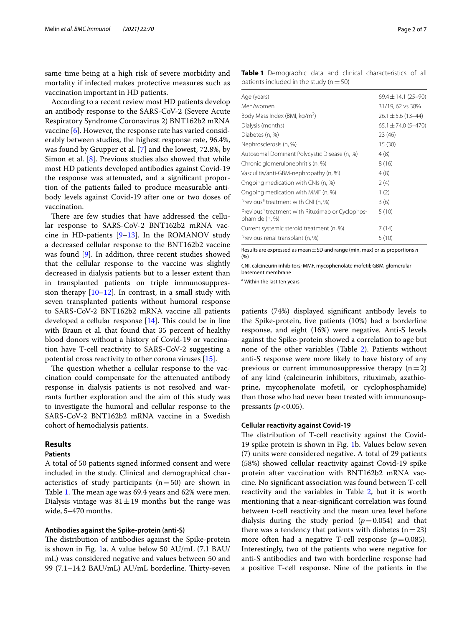same time being at a high risk of severe morbidity and mortality if infected makes protective measures such as vaccination important in HD patients.

According to a recent review most HD patients develop an antibody response to the SARS-CoV-2 (Severe Acute Respiratory Syndrome Coronavirus 2) BNT162b2 mRNA vaccine [\[6](#page-6-5)]. However, the response rate has varied considerably between studies, the highest response rate, 96.4%, was found by Grupper et al. [[7\]](#page-6-6) and the lowest, 72.8%, by Simon et al. [[8](#page-6-7)]. Previous studies also showed that while most HD patients developed antibodies against Covid-19 the response was attenuated, and a signifcant proportion of the patients failed to produce measurable antibody levels against Covid-19 after one or two doses of vaccination.

There are few studies that have addressed the cellular response to SARS-CoV-2 BNT162b2 mRNA vaccine in HD-patients  $[9-13]$  $[9-13]$ . In the ROMANOV study a decreased cellular response to the BNT162b2 vaccine was found [[9\]](#page-6-8). In addition, three recent studies showed that the cellular response to the vaccine was slightly decreased in dialysis patients but to a lesser extent than in transplanted patients on triple immunosuppression therapy [\[10–](#page-6-10)[12\]](#page-6-11). In contrast, in a small study with seven transplanted patients without humoral response to SARS-CoV-2 BNT162b2 mRNA vaccine all patients developed a cellular response  $[14]$  $[14]$ . This could be in line with Braun et al. that found that 35 percent of healthy blood donors without a history of Covid-19 or vaccination have T-cell reactivity to SARS-CoV-2 suggesting a potential cross reactivity to other corona viruses [[15\]](#page-6-13).

The question whether a cellular response to the vaccination could compensate for the attenuated antibody response in dialysis patients is not resolved and warrants further exploration and the aim of this study was to investigate the humoral and cellular response to the SARS-CoV-2 BNT162b2 mRNA vaccine in a Swedish cohort of hemodialysis patients.

#### **Results**

#### **Patients**

A total of 50 patients signed informed consent and were included in the study. Clinical and demographical characteristics of study participants  $(n=50)$  are shown in Table [1](#page-1-0). The mean age was 69.4 years and 62% were men. Dialysis vintage was  $81 \pm 19$  months but the range was wide, 5–470 months.

#### **Antibodies against the Spike‑protein (anti‑S)**

The distribution of antibodies against the Spike-protein is shown in Fig. [1a](#page-2-0). A value below 50 AU/mL (7.1 BAU/ mL) was considered negative and values between 50 and 99 (7.1–14.2 BAU/mL) AU/mL borderline. Thirty-seven

<span id="page-1-0"></span>

| Age (years)                                                                    | $69.4 \pm 14.1 (25 - 90)$ |
|--------------------------------------------------------------------------------|---------------------------|
| Men/women                                                                      | 31/19, 62 vs 38%          |
| Body Mass Index (BMI, kg/m <sup>2</sup> )                                      | $26.1 \pm 5.6$ (13-44)    |
| Dialysis (months)                                                              | $65.1 \pm 74.0 (5 - 470)$ |
| Diabetes (n, %)                                                                | 23 (46)                   |
| Nephrosclerosis (n, %)                                                         | 15(30)                    |
| Autosomal Dominant Polycystic Disease (n, %)                                   | 4(8)                      |
| Chronic glomerulonephritis (n, %)                                              | 8(16)                     |
| Vasculitis/anti-GBM-nephropathy (n, %)                                         | 4(8)                      |
| Ongoing medication with CNIs (n, %)                                            | 2(4)                      |
| Ongoing medication with MMF (n, %)                                             | 1(2)                      |
| Previous <sup>a</sup> treatment with CNI (n, %)                                | 3(6)                      |
| Previous <sup>a</sup> treatment with Rituximab or Cyclophos-<br>phamide (n, %) | 5(10)                     |
| Current systemic steroid treatment (n, %)                                      | 7(14)                     |
| Previous renal transplant (n, %)                                               | 5(10)                     |
|                                                                                |                           |

Results are expressed as mean±SD and range (min, max) or as proportions *n* (%)

CNI, calcineurin inhibitors; MMF, mycophenolate mofetil; GBM, glomerular basement membrane

a Within the last ten years

patients (74%) displayed signifcant antibody levels to the Spike-protein, fve patients (10%) had a borderline response, and eight (16%) were negative. Anti-S levels against the Spike-protein showed a correlation to age but none of the other variables (Table [2](#page-4-0)). Patients without anti-S response were more likely to have history of any previous or current immunosuppressive therapy  $(n=2)$ of any kind (calcineurin inhibitors, rituximab, azathioprine, mycophenolate mofetil, or cyclophosphamide) than those who had never been treated with immunosuppressants ( $p < 0.05$ ).

#### **Cellular reactivity against Covid‑19**

The distribution of T-cell reactivity against the Covid-19 spike protein is shown in Fig. [1b](#page-2-0). Values below seven (7) units were considered negative. A total of 29 patients (58%) showed cellular reactivity against Covid-19 spike protein after vaccination with BNT162b2 mRNA vaccine. No signifcant association was found between T-cell reactivity and the variables in Table [2](#page-4-0), but it is worth mentioning that a near-signifcant correlation was found between t-cell reactivity and the mean urea level before dialysis during the study period  $(p=0.054)$  and that there was a tendency that patients with diabetes  $(n=23)$ more often had a negative T-cell response  $(p=0.085)$ . Interestingly, two of the patients who were negative for anti-S antibodies and two with borderline response had a positive T-cell response. Nine of the patients in the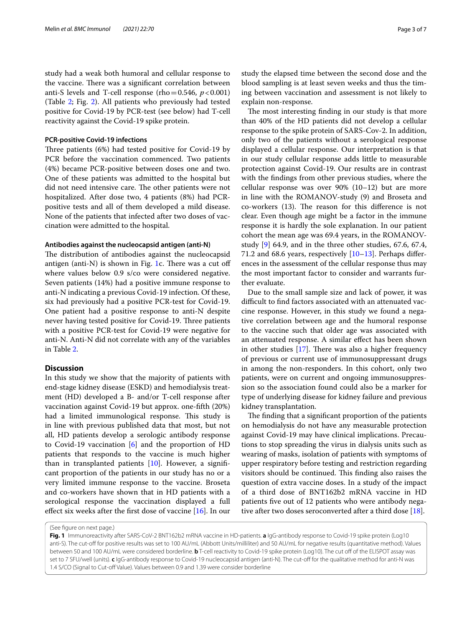study had a weak both humoral and cellular response to the vaccine. There was a significant correlation between anti-S levels and T-cell response (rho $=0.546, p<0.001$ ) (Table [2;](#page-4-0) Fig. [2\)](#page-5-0). All patients who previously had tested positive for Covid-19 by PCR-test (see below) had T-cell reactivity against the Covid-19 spike protein.

#### **PCR‑positive Covid‑19 infections**

Three patients (6%) had tested positive for Covid-19 by PCR before the vaccination commenced. Two patients (4%) became PCR-positive between doses one and two. One of these patients was admitted to the hospital but did not need intensive care. The other patients were not hospitalized. After dose two, 4 patients (8%) had PCRpositive tests and all of them developed a mild disease. None of the patients that infected after two doses of vaccination were admitted to the hospital.

#### **Antibodies against the nucleocapsid antigen (anti‑N)**

The distribution of antibodies against the nucleocapsid antigen (anti-N) is shown in Fig. [1c](#page-2-0). There was a cut off where values below 0.9 s/co were considered negative. Seven patients (14%) had a positive immune response to anti-N indicating a previous Covid-19 infection. Of these, six had previously had a positive PCR-test for Covid-19. One patient had a positive response to anti-N despite never having tested positive for Covid-19. Three patients with a positive PCR-test for Covid-19 were negative for anti-N. Anti-N did not correlate with any of the variables in Table [2](#page-4-0).

#### **Discussion**

In this study we show that the majority of patients with end-stage kidney disease (ESKD) and hemodialysis treatment (HD) developed a B- and/or T-cell response after vaccination against Covid-19 but approx. one-ffth (20%) had a limited immunological response. This study is in line with previous published data that most, but not all, HD patients develop a serologic antibody response to Covid-19 vaccination  $[6]$  $[6]$  and the proportion of HD patients that responds to the vaccine is much higher than in transplanted patients [[10\]](#page-6-10). However, a signifcant proportion of the patients in our study has no or a very limited immune response to the vaccine. Broseta and co-workers have shown that in HD patients with a serological response the vaccination displayed a full efect six weeks after the frst dose of vaccine [\[16\]](#page-6-14). In our study the elapsed time between the second dose and the blood sampling is at least seven weeks and thus the timing between vaccination and assessment is not likely to explain non-response.

The most interesting finding in our study is that more than 40% of the HD patients did not develop a cellular response to the spike protein of SARS-Cov-2. In addition, only two of the patients without a serological response displayed a cellular response. Our interpretation is that in our study cellular response adds little to measurable protection against Covid-19. Our results are in contrast with the fndings from other previous studies, where the cellular response was over 90% (10–12) but are more in line with the ROMANOV-study (9) and Broseta and co-workers (13). The reason for this difference is not clear. Even though age might be a factor in the immune response it is hardly the sole explanation. In our patient cohort the mean age was 69.4 years, in the ROMANOVstudy [\[9](#page-6-8)] 64.9, and in the three other studies, 67.6, 67.4, 71.2 and 68.6 years, respectively  $[10-13]$  $[10-13]$ . Perhaps differences in the assessment of the cellular response thus may the most important factor to consider and warrants further evaluate.

Due to the small sample size and lack of power, it was difficult to find factors associated with an attenuated vaccine response. However, in this study we found a negative correlation between age and the humoral response to the vaccine such that older age was associated with an attenuated response. A similar efect has been shown in other studies  $[17]$  $[17]$ . There was also a higher frequency of previous or current use of immunosuppressant drugs in among the non-responders. In this cohort, only two patients, were on current and ongoing immunosuppression so the association found could also be a marker for type of underlying disease for kidney failure and previous kidney transplantation.

The finding that a significant proportion of the patients on hemodialysis do not have any measurable protection against Covid-19 may have clinical implications. Precautions to stop spreading the virus in dialysis units such as wearing of masks, isolation of patients with symptoms of upper respiratory before testing and restriction regarding visitors should be continued. This finding also raises the question of extra vaccine doses. In a study of the impact of a third dose of BNT162b2 mRNA vaccine in HD patients fve out of 12 patients who were antibody nega-tive after two doses seroconverted after a third dose [[18\]](#page-6-16).

<span id="page-2-0"></span>**Fig. 1** Immunoreactivity after SARS-CoV-2 BNT162b2 mRNA vaccine in HD-patients. **a** IgG-antibody response to Covid-19 spike protein (Log10 anti-S). The cut-of for positive results was set to 100 AU/mL (Abbott Units/milliliter) and 50 AU/mL for negative results (quantitative method). Values between 50 and 100 AU/mL were considered borderline. **b** T-cell reactivity to Covid-19 spike protein (Log10). The cut off of the ELISPOT assay was set to 7 SFU/well (units). **c** IgG-antibody response to Covid-19 nucleocapsid antigen (anti-N). The cut-of for the qualitative method for anti-N was 1.4 S/CO (Signal to Cut-off Value). Values between 0.9 and 1.39 were consider borderline

<sup>(</sup>See fgure on next page.)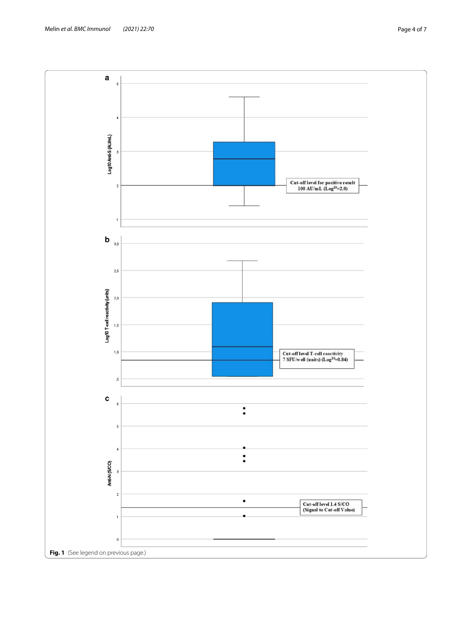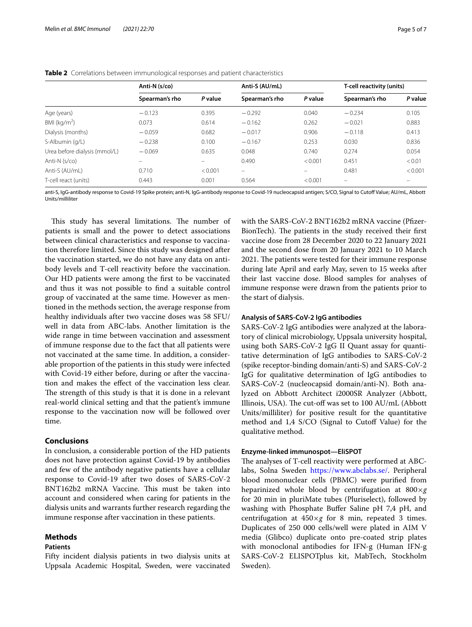|                               | Anti-N (s/co)            |         | Anti-S (AU/mL)    |         | T-cell reactivity (units) |         |
|-------------------------------|--------------------------|---------|-------------------|---------|---------------------------|---------|
|                               | Spearman's rho           | P value | Spearman's rho    | P value | Spearman's rho            | P value |
| Age (years)                   | $-0.123$                 | 0.395   | $-0.292$          | 0.040   | $-0.234$                  | 0.105   |
| BMI ( $kg/m2$ )               | 0.073                    | 0.614   | $-0.162$          | 0.262   | $-0.021$                  | 0.883   |
| Dialysis (months)             | $-0.059$                 | 0.682   | $-0.017$          | 0.906   | $-0.118$                  | 0.413   |
| S-Albumin (g/L)               | $-0.238$                 | 0.100   | $-0.167$          | 0.253   | 0.030                     | 0.836   |
| Urea before dialysis (mmol/L) | $-0.069$                 | 0.635   | 0.048             | 0.740   | 0.274                     | 0.054   |
| Anti-N (s/co)                 | $\overline{\phantom{0}}$ |         | 0.490             | < 0.001 | 0.451                     | < 0.01  |
| Anti-S (AU/mL)                | 0.710                    | < 0.001 | $\qquad \qquad =$ |         | 0.481                     | < 0.001 |
| T-cell react (units)          | 0.443                    | 0.001   | 0.564             | < 0.001 | $\overline{\phantom{m}}$  |         |

<span id="page-4-0"></span>**Table 2** Correlations between immunological responses and patient characteristics

anti-S, IgG-antibody response to Covid-19 Spike protein; anti-N, IgG-antibody response to Covid-19 nucleocapsid antigen; S/CO, Signal to Cutof Value; AU/mL, Abbott Units/milliliter

This study has several limitations. The number of patients is small and the power to detect associations between clinical characteristics and response to vaccination therefore limited. Since this study was designed after the vaccination started, we do not have any data on antibody levels and T-cell reactivity before the vaccination. Our HD patients were among the frst to be vaccinated and thus it was not possible to fnd a suitable control group of vaccinated at the same time. However as mentioned in the methods section, the average response from healthy individuals after two vaccine doses was 58 SFU/ well in data from ABC-labs. Another limitation is the wide range in time between vaccination and assessment of immune response due to the fact that all patients were not vaccinated at the same time. In addition, a considerable proportion of the patients in this study were infected with Covid-19 either before, during or after the vaccination and makes the efect of the vaccination less clear. The strength of this study is that it is done in a relevant real-world clinical setting and that the patient's immune response to the vaccination now will be followed over time.

#### **Conclusions**

In conclusion, a considerable portion of the HD patients does not have protection against Covid-19 by antibodies and few of the antibody negative patients have a cellular response to Covid-19 after two doses of SARS-CoV-2 BNT162b2 mRNA Vaccine. This must be taken into account and considered when caring for patients in the dialysis units and warrants further research regarding the immune response after vaccination in these patients.

#### **Methods**

#### **Patients**

Fifty incident dialysis patients in two dialysis units at Uppsala Academic Hospital, Sweden, were vaccinated

with the SARS-CoV-2 BNT162b2 mRNA vaccine (Pfizer-BionTech). The patients in the study received their first vaccine dose from 28 December 2020 to 22 January 2021 and the second dose from 20 January 2021 to 10 March 2021. The patients were tested for their immune response during late April and early May, seven to 15 weeks after their last vaccine dose. Blood samples for analyses of immune response were drawn from the patients prior to the start of dialysis.

#### **Analysis of SARS‑CoV‑2 IgG antibodies**

SARS-CoV-2 IgG antibodies were analyzed at the laboratory of clinical microbiology, Uppsala university hospital, using both SARS-CoV-2 IgG II Quant assay for quantitative determination of IgG antibodies to SARS-CoV-2 (spike receptor-binding domain/anti-S) and SARS-CoV-2 IgG for qualitative determination of IgG antibodies to SARS-CoV-2 (nucleocapsid domain/anti-N). Both analyzed on Abbott Architect i2000SR Analyzer (Abbott, Illinois, USA). The cut-off was set to 100 AU/mL (Abbott) Units/milliliter) for positive result for the quantitative method and 1,4 S/CO (Signal to Cutoff Value) for the qualitative method.

#### **Enzyme‑linked immunospot—EliSPOT**

The analyses of T-cell reactivity were performed at ABClabs, Solna Sweden [https://www.abclabs.se/.](https://www.abclabs.se/) Peripheral blood mononuclear cells (PBMC) were purifed from heparinized whole blood by centrifugation at 800×*g* for 20 min in pluriMate tubes (Pluriselect), followed by washing with Phosphate Buffer Saline pH 7,4 pH, and centrifugation at  $450 \times g$  for 8 min, repeated 3 times. Duplicates of 250 000 cells/well were plated in AIM V media (Glibco) duplicate onto pre-coated strip plates with monoclonal antibodies for IFN-g (Human IFN-g SARS-CoV-2 ELISPOTplus kit, MabTech, Stockholm Sweden).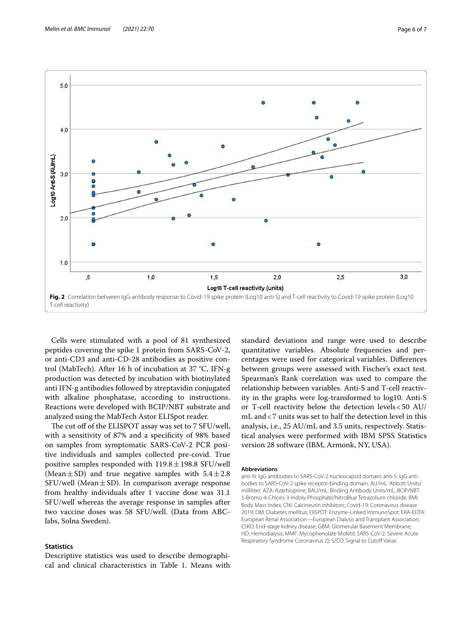

<span id="page-5-0"></span>Cells were stimulated with a pool of 81 synthesized peptides covering the spike 1 protein from SARS-CoV-2, or anti-CD3 and anti-CD-28 antibodies as positive control (MabTech). After 16 h of incubation at 37 °C, IFN-g production was detected by incubation with biotinylated anti IFN-g antibodies followed by streptavidin conjugated with alkaline phosphatase, according to instructions. Reactions were developed with BCIP/NBT substrate and analyzed using the MabTech Astor ELISpot reader.

The cut off of the ELISPOT assay was set to 7 SFU/well, with a sensitivity of 87% and a specifcity of 98% based on samples from symptomatic SARS-CoV-2 PCR positive individuals and samples collected pre-covid. True positive samples responded with  $119.8 \pm 198.8$  SFU/well (Mean $\pm$ SD) and true negative samples with 5.4 $\pm$ 2.8 SFU/well (Mean $\pm$ SD). In comparison average response from healthy individuals after 1 vaccine dose was 31.1 SFU/well whereas the average response in samples after two vaccine doses was 58 SFU/well. (Data from ABClabs, Solna Sweden).

#### **Statistics**

Descriptive statistics was used to describe demographical and clinical characteristics in Table [1.](#page-1-0) Means with standard deviations and range were used to describe quantitative variables. Absolute frequencies and percentages were used for categorical variables. Diferences between groups were assessed with Fischer's exact test. Spearman's Rank correlation was used to compare the relationship between variables. Anti-S and T-cell reactivity in the graphs were log-transformed to log10. Anti-S or T-cell reactivity below the detection levels<50 AU/ mL and<7 units was set to half the detection level in this analysis, i.e., 25 AU/mL and 3.5 units, respectively. Statistical analyses were performed with IBM SPSS Statistics version 28 software (IBM, Armonk, NY, USA).

#### **Abbreviations**

anti-N: IgG antibodies to SARS-CoV-2 nucleocapsid domain; anti-S: IgG antibodies to SARS-CoV-2 spike receptor-binding domain; AU/mL: Abbott Units/ milliliter; AZA: Azathioprine; BAU/mL: Binding Antibody Units/mL; BCIP/NBT: 5-Bromo-4-Chloro-3-Indoly-Phosphate/NitroBlue Tetrazolium chloride; BMI: Body Mass Index; CNI: Calcineurin inhibitors; Covid-19: Coronavirus disease 2019; DM: Diabetes mellitus; EliSPOT: Enzyme-Linked ImmunoSpot; ERA-EDTA: European Renal Association—European Dialysis and Transplant Association; ESKD: End-stage kidney disease; GBM: Glomerular Basement Membrane; HD: Hemodialysis; MMF: Mycophenolate Mofetil; SARS-CoV-2: Severe Acute Respiratory Syndrome Coronavirus 2); S/CO: Signal to Cutoff Value.